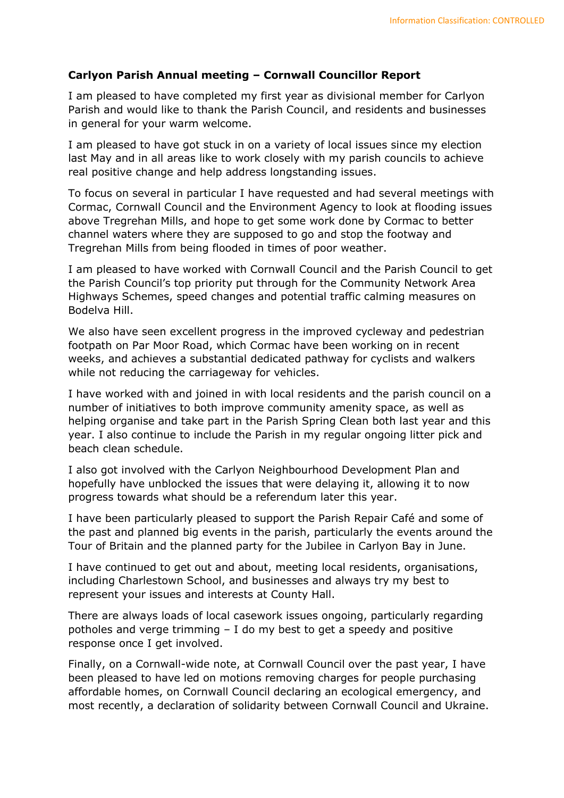## Carlyon Parish Annual meeting – Cornwall Councillor Report

I am pleased to have completed my first year as divisional member for Carlyon Parish and would like to thank the Parish Council, and residents and businesses in general for your warm welcome.

I am pleased to have got stuck in on a variety of local issues since my election last May and in all areas like to work closely with my parish councils to achieve real positive change and help address longstanding issues.

To focus on several in particular I have requested and had several meetings with Cormac, Cornwall Council and the Environment Agency to look at flooding issues above Tregrehan Mills, and hope to get some work done by Cormac to better channel waters where they are supposed to go and stop the footway and Tregrehan Mills from being flooded in times of poor weather.

I am pleased to have worked with Cornwall Council and the Parish Council to get the Parish Council's top priority put through for the Community Network Area Highways Schemes, speed changes and potential traffic calming measures on Bodelva Hill.

We also have seen excellent progress in the improved cycleway and pedestrian footpath on Par Moor Road, which Cormac have been working on in recent weeks, and achieves a substantial dedicated pathway for cyclists and walkers while not reducing the carriageway for vehicles.

I have worked with and joined in with local residents and the parish council on a number of initiatives to both improve community amenity space, as well as helping organise and take part in the Parish Spring Clean both last year and this year. I also continue to include the Parish in my regular ongoing litter pick and beach clean schedule.

I also got involved with the Carlyon Neighbourhood Development Plan and hopefully have unblocked the issues that were delaying it, allowing it to now progress towards what should be a referendum later this year.

I have been particularly pleased to support the Parish Repair Café and some of the past and planned big events in the parish, particularly the events around the Tour of Britain and the planned party for the Jubilee in Carlyon Bay in June.

I have continued to get out and about, meeting local residents, organisations, including Charlestown School, and businesses and always try my best to represent your issues and interests at County Hall.

There are always loads of local casework issues ongoing, particularly regarding potholes and verge trimming – I do my best to get a speedy and positive response once I get involved.

Finally, on a Cornwall-wide note, at Cornwall Council over the past year, I have been pleased to have led on motions removing charges for people purchasing affordable homes, on Cornwall Council declaring an ecological emergency, and most recently, a declaration of solidarity between Cornwall Council and Ukraine.